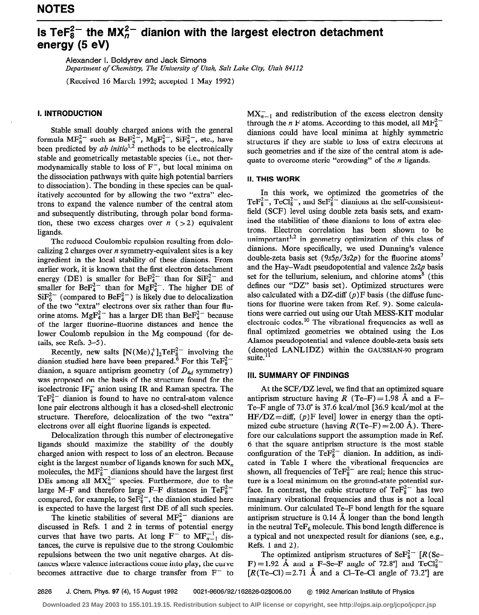# Is TeF $^{2-}_{8}$  the MX $^{2-}_{n}$  dianion with the largest electron detachment energy (5 eV)

Alexander I. Boldyrev and Jack Simons Department of Chemistry, The University of Utah, Salt Lake City, Utah 84112

(Received 16 March 1992; accepted 1 May 1992)

## I. INTRODUCTION

Stable small doubly charged anions with the general formula  $MF_n^2$  such as Be $F_4^2$ ,  $MgF_4^2$ ,  $SiF_6^2$ , etc., have been predicted by *ab initio*<sup>1,2</sup> methods to be electronically stable and geometrically metastable species (i.e., not thermodynamically stable to loss of  $F^-$ , but local minima on the dissociation pathways with quite high potential barriers to dissociation). The bonding in these species can be qualitatively accounted for by allowing the two "extra" electrons to expand the valence number of the central atom and subsequently distributing, through polar bond formation, these two excess charges over  $n$  ( > 2) equivalent ligands.

The reduced Coulombic repulsion resulting from delocalizing 2 charges over  $n$  symmetry-equivalent sites is a key ingredient in the local stability of these dianions. From earlier work, it is known that the first electron detachment energy (DE) is smaller for Be $F_4^2$  than for Si $F_6^2$  and smaller for  $BeF_4^2$  than for MgF<sub>4</sub><sup>-</sup>. The higher DE of  $\text{SiF}_6^{2-}$  (compared to BeF<sub>4</sub><sup>2</sup>) is likely due to delocalization of the two "extra" electrons over six rather than four fluorine atoms. MgF<sub>4</sub><sup>-</sup> has a larger DE than BeF<sub>4</sub><sup>-</sup> because of the larger fluorine-fluorine distances and hence the lower Coulomb repulsion in the Mg compound (for details, see Refs. 3-5).

Recently, new salts  $[N(Me)<sub>4</sub><sup>+</sup>]_{2}TeF<sub>8</sub><sup>-</sup>$  involving the dianion studied here have been prepared.<sup>6</sup> For this TeF<sub>8</sub> dianion, a square antiprism geometry (of  $D_{4d}$  symmetry) was proposed on the basis of the structure found for the isoelectronic  $IF_8^-$  anion using IR and Raman spectra. The  $\text{TeF}_8^{2-}$  dianion is found to have no central-atom valence lone pair electrons although it has a closed-shell electronic structure. Therefore, delocalization of the two "extra" electrons over all eight fluorine ligands is expected.

Delocalization through this number of electronegative ligands should maximize the stability of the doubly charged anion with respect to loss of an electron. Because eight is the largest number of ligands known for such  $MX_n$ molecules, the  $MF_8^{2-}$  dianions should have the largest first DEs among all  $MX_n^2$  species. Furthermore, due to the large M-F and therefore large F-F distances in TeF $_{8}^{2-}$ compared, for example, to Se $F_8^{2-}$ , the dianion studied here is expected to have the largest first DE of all such species.

The kinetic stabilities of several  $MF_n^2$  dianions are discussed in Refs. 1 and 2 in terms of potential energy curves that have two parts. At long  $F^-$  to  $MF_{n-1}^{-1}$  distances, the curve is repulsive due to the strong Coulombic repulsions between the two unit negative charges. At distances where valence interactions come into play, the curve becomes attractive due to charge transfer from  $F^-$  to

 $MX_{n-1}^-$  and redistribution of the excess electron density through the n F atoms. According to this model, all  $MF_k^2$ dianions could have local minima at highly symmetric structures if they are stable to loss of extra electrons at such geometries and if the size of the central atom is adequate to overcome steric "crowding" of the  $n$  ligands.

### II. THIS WORK

In this work, we optimized the geometries of the TeF<sub>8</sub><sup>-</sup>, TeCl<sub>8</sub><sup>-</sup>, and SeF<sub>8</sub><sup>-</sup> dianions at the self-consistentfield (SCF) level using double zeta basis sets, and examined the stabilities of these dianions to loss of extra electrons. Electron correlation has been shown to be unimportant<sup>1,2</sup> in geometry optimization of this class of dianions. More specifically, we used Dunning's valence double-zeta basis set ( $9s5p/3s2p$ ) for the fluorine atoms<sup>7</sup> and the Hay-Wadt pseudopotential and valence  $2s2p$  basis set for the tellurium, selenium, and chlorine atoms<sup>8</sup> (this defines our "DZ" basis set). Optimized structures were also calculated with a DZ-diff  $(p)$ F basis (the diffuse functions for fluorine were taken from Ref. 9). Some calculations were carried out using our Utah MESS-KIT modular electronic codes.<sup>10</sup> The vibrational frequencies as well as final optimized geometries we obtained using the Los Alamos pseudopotential and valence double-zeta basis sets (denoted LANLlDZ) within the GAUSSIAN-90 program suite.

#### Ill. SUMMARY OF FINDINGS

At the SCF/DZ level, we find that an optimized square antiprism structure having R (Te-F) = 1.98 Å and a F-Te-F angle of 73.0" is 37.6 kcal/mol [36.9 kcal/mol at the  $HF/DZ = diff$ ,  $(p)$  F level lower in energy than the optimized cube structure (having  $R$ (Te-F) = 2.00 Å). Therefore our calculations support the assumption made in Ref. 6 that the square antiprism structure is the most stable configuration of the Te $F_8^{2-}$  dianion. In addition, as indicated in Table I where the vibrational frequencies are shown, all frequencies of Te $F_8^{2-}$  are real; hence this structure is a local minimum on the ground-state potential surface. In contrast, the cubic structure of  $TeF_8^{2-}$  has two imaginary vibrational frequencies and thus is not a local minimum. Our calculated Te-F bond length for the square antiprism structure is 0.14 A longer than the bond length in the neutral  $\text{TeF}_6$  molecule. This bond length difference is a typical and not unexpected result for dianions (see, e.g., Refs. 1 and 2);

The optimized antiprism structures of  $\text{SeF}_8^{2-}$  [R (Se- $F$ ) = 1.92 Å and a F-Se-F angle of 72.8°] and TeCl<sub>8</sub><sup>2</sup>  $[R(Te-CI) = 2.71$  Å and a Cl-Te-Cl angle of 73.2<sup>°</sup> are

2826 J. Chem. Phys. 97 (4), 15 August 1992 0021-9606/92/162826-02\$006.00 @ 1992 American Institute of Physics